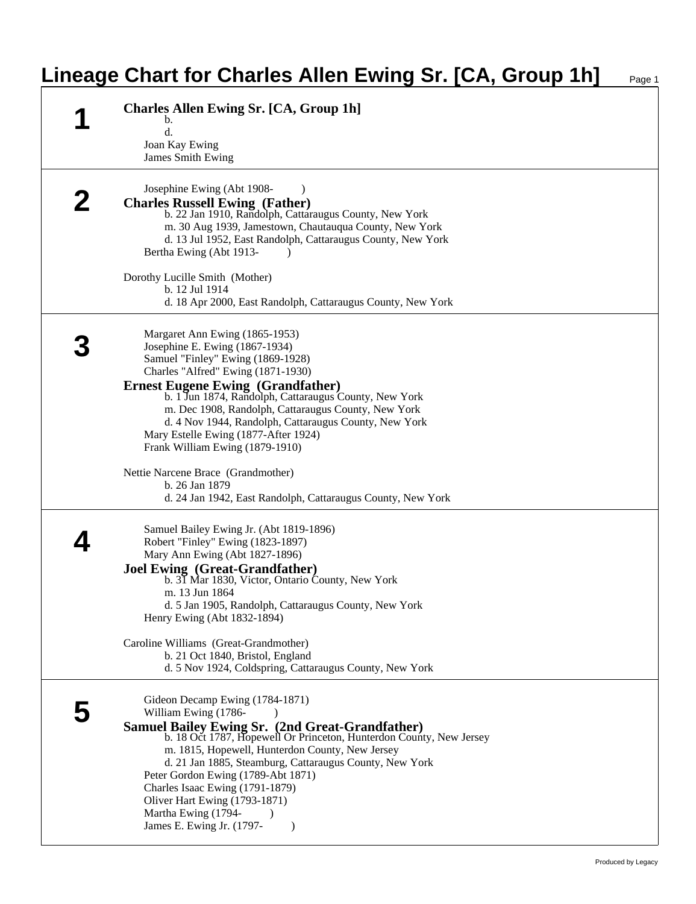## **Lineage Chart for Charles Allen Ewing Sr. [CA, Group 1h]**

|   | <b>Charles Allen Ewing Sr. [CA, Group 1h]</b>                                                                                 |
|---|-------------------------------------------------------------------------------------------------------------------------------|
| 1 | b.<br>d.                                                                                                                      |
|   | Joan Kay Ewing                                                                                                                |
|   | <b>James Smith Ewing</b>                                                                                                      |
|   | Josephine Ewing (Abt 1908-                                                                                                    |
|   | <b>Charles Russell Ewing (Father)</b>                                                                                         |
|   | b. 22 Jan 1910, Randolph, Cattaraugus County, New York                                                                        |
|   | m. 30 Aug 1939, Jamestown, Chautauqua County, New York<br>d. 13 Jul 1952, East Randolph, Cattaraugus County, New York         |
|   | Bertha Ewing (Abt 1913-                                                                                                       |
|   | Dorothy Lucille Smith (Mother)                                                                                                |
|   | b. 12 Jul 1914                                                                                                                |
|   | d. 18 Apr 2000, East Randolph, Cattaraugus County, New York                                                                   |
|   | Margaret Ann Ewing (1865-1953)                                                                                                |
|   | Josephine E. Ewing (1867-1934)                                                                                                |
|   | Samuel "Finley" Ewing (1869-1928)                                                                                             |
|   | Charles "Alfred" Ewing (1871-1930)<br><b>Ernest Eugene Ewing (Grandfather)</b>                                                |
|   | b. 1 Jun 1874, Randolph, Cattaraugus County, New York                                                                         |
|   | m. Dec 1908, Randolph, Cattaraugus County, New York                                                                           |
|   | d. 4 Nov 1944, Randolph, Cattaraugus County, New York<br>Mary Estelle Ewing (1877-After 1924)                                 |
|   | Frank William Ewing (1879-1910)                                                                                               |
|   | Nettie Narcene Brace (Grandmother)                                                                                            |
|   | b. 26 Jan 1879                                                                                                                |
|   | d. 24 Jan 1942, East Randolph, Cattaraugus County, New York                                                                   |
|   | Samuel Bailey Ewing Jr. (Abt 1819-1896)                                                                                       |
|   | Robert "Finley" Ewing (1823-1897)                                                                                             |
|   | Mary Ann Ewing (Abt 1827-1896)                                                                                                |
|   | <b>Joel Ewing (Great-Grandfather)</b><br>b. 31 Mar 1830, Victor, Ontario County, New York                                     |
|   | m. 13 Jun 1864                                                                                                                |
|   | d. 5 Jan 1905, Randolph, Cattaraugus County, New York                                                                         |
|   | Henry Ewing (Abt 1832-1894)                                                                                                   |
|   | Caroline Williams (Great-Grandmother)                                                                                         |
|   | b. 21 Oct 1840, Bristol, England                                                                                              |
|   | d. 5 Nov 1924, Coldspring, Cattaraugus County, New York                                                                       |
|   | Gideon Decamp Ewing (1784-1871)                                                                                               |
|   | William Ewing (1786-<br>$\lambda$                                                                                             |
|   | <b>Samuel Bailey Ewing Sr. (2nd Great-Grandfather)</b><br>b. 18 Oct 1787, Hopewell Or Princeton, Hunterdon County, New Jersey |
|   | m. 1815, Hopewell, Hunterdon County, New Jersey                                                                               |
|   | d. 21 Jan 1885, Steamburg, Cattaraugus County, New York<br>Peter Gordon Ewing (1789-Abt 1871)                                 |
|   | Charles Isaac Ewing (1791-1879)                                                                                               |
|   | Oliver Hart Ewing (1793-1871)                                                                                                 |
|   | Martha Ewing (1794-                                                                                                           |
|   | James E. Ewing Jr. (1797-<br>$\lambda$                                                                                        |